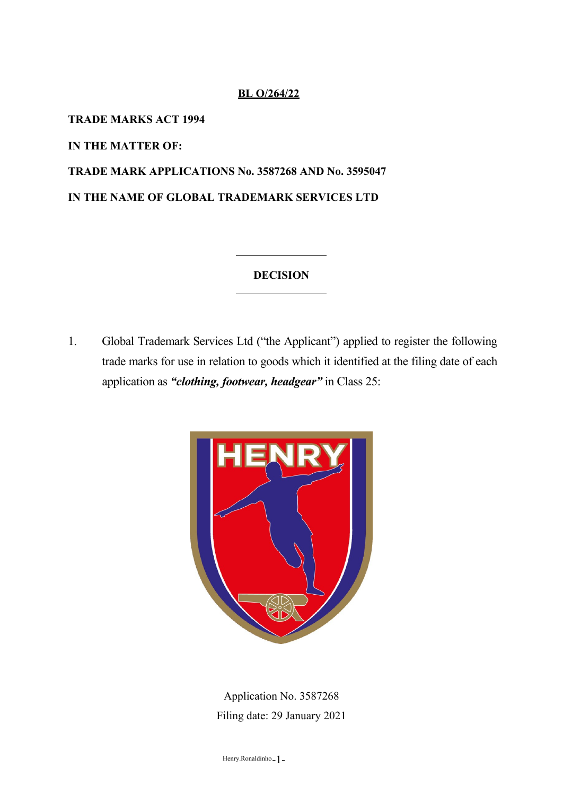## **BL O/264/22**

**TRADE MARKS ACT 1994**

**IN THE MATTER OF:**

**TRADE MARK APPLICATIONS No. 3587268 AND No. 3595047 IN THE NAME OF GLOBAL TRADEMARK SERVICES LTD**

## **DECISION**

1. Global Trademark Services Ltd ("the Applicant") applied to register the following trade marks for use in relation to goods which it identified at the filing date of each application as *"clothing, footwear, headgear"* in Class 25:



Application No. 3587268 Filing date: 29 January 2021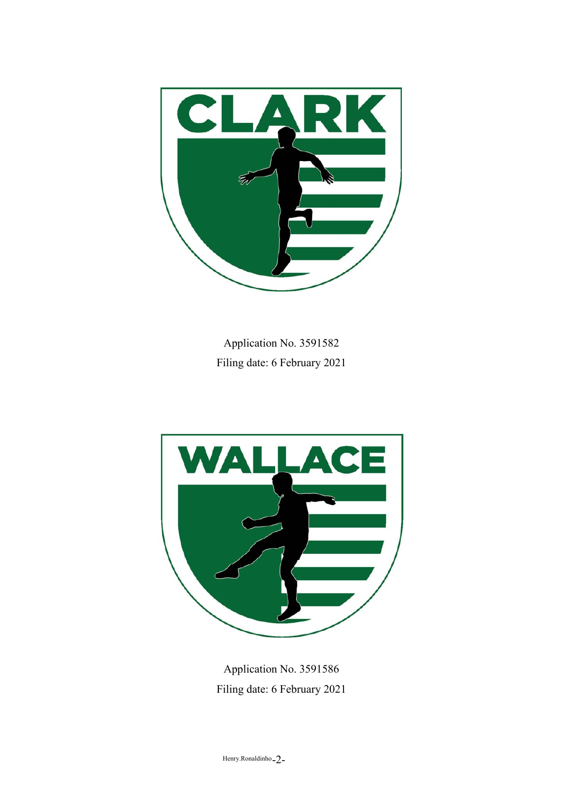

Application No. 3591582 Filing date: 6 February 2021



Application No. 3591586 Filing date: 6 February 2021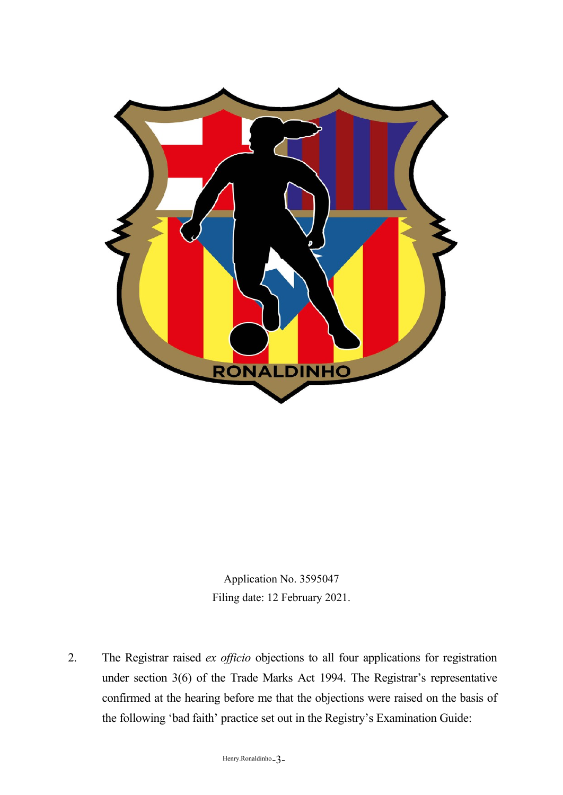

Application No. 3595047 Filing date: 12 February 2021.

2. The Registrar raised *ex officio* objections to all four applications for registration under section 3(6) of the Trade Marks Act 1994. The Registrar's representative confirmed at the hearing before me that the objections were raised on the basis of the following 'bad faith' practice set out in the Registry's Examination Guide: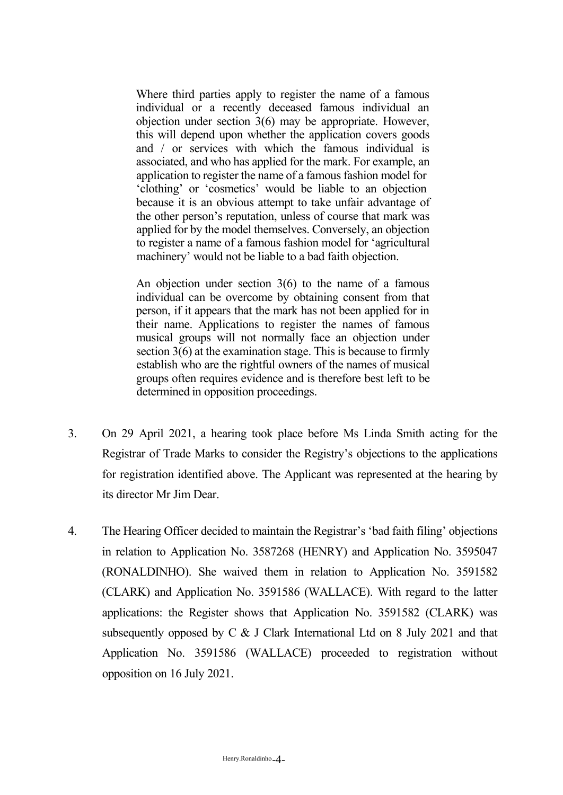Where third parties apply to register the name of a famous individual or a recently deceased famous individual an objection under section 3(6) may be appropriate. However, this will depend upon whether the application covers goods and / or services with which the famous individual is associated, and who has applied for the mark. For example, an application to register the name of a famous fashion model for 'clothing' or 'cosmetics' would be liable to an objection because it is an obvious attempt to take unfair advantage of the other person's reputation, unless of course that mark was applied for by the model themselves. Conversely, an objection to register a name of a famous fashion model for 'agricultural machinery' would not be liable to a bad faith objection.

An objection under section 3(6) to the name of a famous individual can be overcome by obtaining consent from that person, if it appears that the mark has not been applied for in their name. Applications to register the names of famous musical groups will not normally face an objection under section 3(6) at the examination stage. This is because to firmly establish who are the rightful owners of the names of musical groups often requires evidence and is therefore best left to be determined in opposition proceedings.

- 3. On 29 April 2021, a hearing took place before Ms Linda Smith acting for the Registrar of Trade Marks to consider the Registry's objections to the applications for registration identified above. The Applicant was represented at the hearing by its director Mr Jim Dear.
- 4. The Hearing Officer decided to maintain the Registrar's 'bad faith filing' objections in relation to Application No. 3587268 (HENRY) and Application No. 3595047 (RONALDINHO). She waived them in relation to Application No. 3591582 (CLARK) and Application No. 3591586 (WALLACE). With regard to the latter applications: the Register shows that Application No. 3591582 (CLARK) was subsequently opposed by C & J Clark International Ltd on 8 July 2021 and that Application No. 3591586 (WALLACE) proceeded to registration without opposition on 16 July 2021.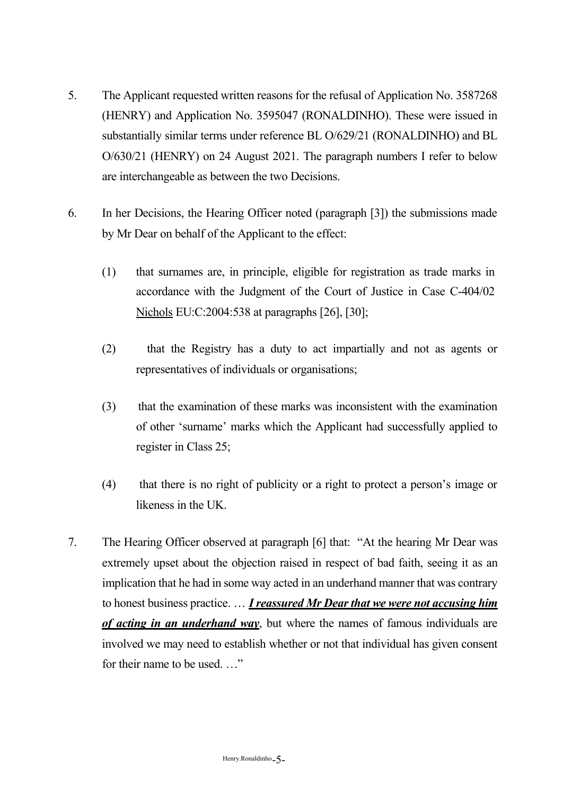- 5. The Applicant requested written reasons for the refusal of Application No. 3587268 (HENRY) and Application No. 3595047 (RONALDINHO). These were issued in substantially similar terms under reference BL O/629/21 (RONALDINHO) and BL O/630/21 (HENRY) on 24 August 2021. The paragraph numbers I refer to below are interchangeable as between the two Decisions.
- 6. In her Decisions, the Hearing Officer noted (paragraph [3]) the submissions made by Mr Dear on behalf of the Applicant to the effect:
	- (1) that surnames are, in principle, eligible for registration as trade marks in accordance with the Judgment of the Court of Justice in Case C-404/02 Nichols EU:C:2004:538 at paragraphs [26], [30];
	- (2) that the Registry has a duty to act impartially and not as agents or representatives of individuals or organisations;
	- (3) that the examination of these marks was inconsistent with the examination of other 'surname' marks which the Applicant had successfully applied to register in Class 25;
	- (4) that there is no right of publicity or a right to protect a person's image or likeness in the UK.
- 7. The Hearing Officer observed at paragraph [6] that: "At the hearing Mr Dear was extremely upset about the objection raised in respect of bad faith, seeing it as an implication that he had in some way acted in an underhand manner that was contrary to honest business practice. … *I reassured Mr Dear that we were not accusing him of acting in an underhand way*, but where the names of famous individuals are involved we may need to establish whether or not that individual has given consent for their name to be used. …"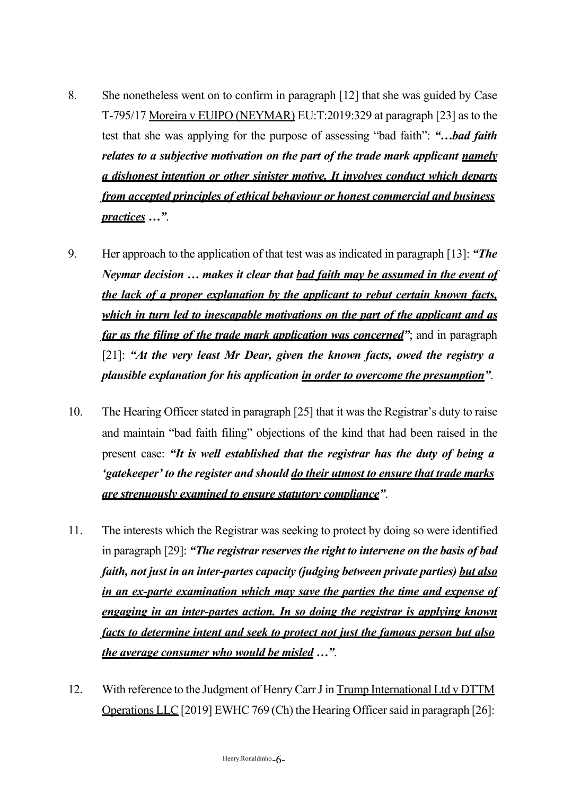- 8. She nonetheless went on to confirm in paragraph [12] that she was guided by Case T-795/17 Moreira v EUIPO (NEYMAR) EU:T:2019:329 at paragraph [23] as to the test that she was applying for the purpose of assessing "bad faith": *"…bad faith relates to a subjective motivation on the part of the trade mark applicant namely a dishonest intention or other sinister motive. It involves conduct which departs from accepted principles of ethical behaviour or honest commercial and business practices …"*.
- 9. Her approach to the application of that test was as indicated in paragraph [13]: *"The Neymar decision … makes it clear that bad faith may be assumed in the event of the lack of a proper explanation by the applicant to rebut certain known facts, which in turn led to inescapable motivations on the part of the applicant and as far as the filing of the trade mark application was concerned"*; and in paragraph [21]: *"At the very least Mr Dear, given the known facts, owed the registry a plausible explanation for his application in order to overcome the presumption"*.
- 10. The Hearing Officer stated in paragraph [25] that it was the Registrar's duty to raise and maintain "bad faith filing" objections of the kind that had been raised in the present case: *"It is well established that the registrar has the duty of being a 'gatekeeper' to the register and should do their utmost to ensure that trade marks are strenuously examined to ensure statutory compliance"*.
- 11. The interests which the Registrar was seeking to protect by doing so were identified in paragraph [29]: *"The registrar reserves the right to intervene on the basis of bad faith, not just in an inter-partes capacity (judging between private parties) but also in an ex-parte examination which may save the parties the time and expense of engaging in an inter-partes action. In so doing the registrar is applying known facts to determine intent and seek to protect not just the famous person but also the average consumer who would be misled …"*.
- 12. With reference to the Judgment of Henry Carr J in Trump International Ltd v DTTM Operations LLC [2019] EWHC 769 (Ch) the Hearing Officer said in paragraph [26]: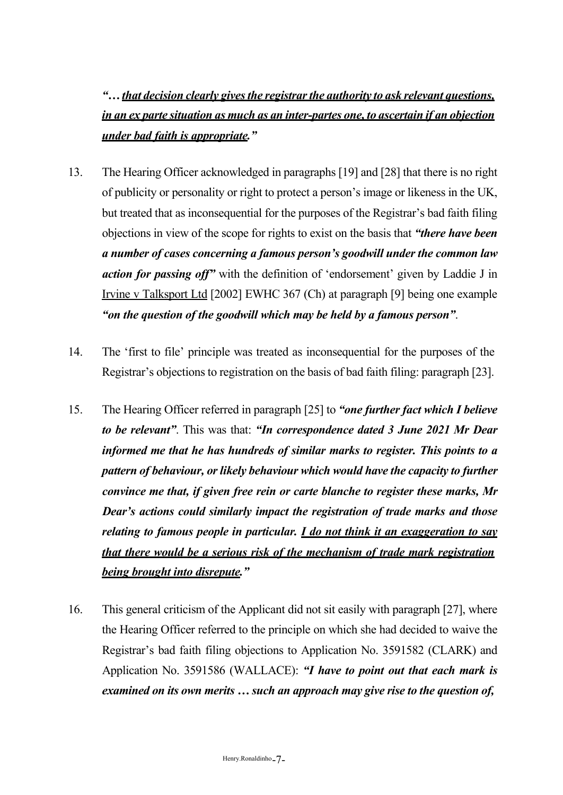*"…that decision clearly givesthe registrarthe authority to ask relevant questions, in an ex parte situation as much as an inter-partes one, to ascertain if an objection under bad faith is appropriate."*

- 13. The Hearing Officer acknowledged in paragraphs [19] and [28] that there is no right of publicity or personality or right to protect a person's image or likeness in the UK, but treated that as inconsequential for the purposes of the Registrar's bad faith filing objections in view of the scope for rights to exist on the basis that *"there have been a number of cases concerning a famous person's goodwill under the common law action for passing off"* with the definition of 'endorsement' given by Laddie J in Irvine v Talksport Ltd [2002] EWHC 367 (Ch) at paragraph [9] being one example *"on the question of the goodwill which may be held by a famous person"*.
- 14. The 'first to file' principle was treated as inconsequential for the purposes of the Registrar's objections to registration on the basis of bad faith filing: paragraph [23].
- 15. The Hearing Officer referred in paragraph [25] to *"one further fact which I believe to be relevant"*. This was that: *"In correspondence dated 3 June 2021 Mr Dear informed me that he has hundreds of similar marks to register. This points to a pattern of behaviour, or likely behaviour which would have the capacity to further convince me that, if given free rein or carte blanche to register these marks, Mr Dear's actions could similarly impact the registration of trade marks and those relating to famous people in particular. I do not think it an exaggeration to say that there would be a serious risk of the mechanism of trade mark registration being brought into disrepute."*
- 16. This general criticism of the Applicant did not sit easily with paragraph [27], where the Hearing Officer referred to the principle on which she had decided to waive the Registrar's bad faith filing objections to Application No. 3591582 (CLARK) and Application No. 3591586 (WALLACE): *"I have to point out that each mark is examined on its own merits … such an approach may give rise to the question of,*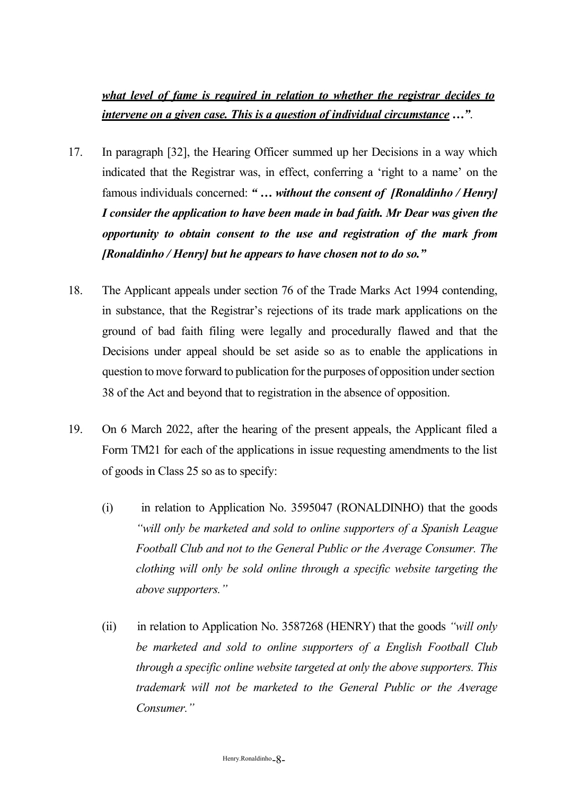## *what level of fame is required in relation to whether the registrar decides to intervene on a given case. This is a question of individual circumstance …"*.

- 17. In paragraph [32], the Hearing Officer summed up her Decisions in a way which indicated that the Registrar was, in effect, conferring a 'right to a name' on the famous individuals concerned: *" … without the consent of [Ronaldinho / Henry] I consider the application to have been made in bad faith. Mr Dear was given the opportunity to obtain consent to the use and registration of the mark from [Ronaldinho / Henry] but he appears to have chosen not to do so."*
- 18. The Applicant appeals under section 76 of the Trade Marks Act 1994 contending, in substance, that the Registrar's rejections of its trade mark applications on the ground of bad faith filing were legally and procedurally flawed and that the Decisions under appeal should be set aside so as to enable the applications in question to move forward to publication for the purposes of opposition under section 38 of the Act and beyond that to registration in the absence of opposition.
- 19. On 6 March 2022, after the hearing of the present appeals, the Applicant filed a Form TM21 for each of the applications in issue requesting amendments to the list of goods in Class 25 so as to specify:
	- (i) in relation to Application No. 3595047 (RONALDINHO) that the goods *"will only be marketed and sold to online supporters of a Spanish League Football Club and not to the General Public or the Average Consumer. The clothing will only be sold online through a specific website targeting the above supporters."*
	- (ii) in relation to Application No. 3587268 (HENRY) that the goods *"will only be marketed and sold to online supporters of a English Football Club through a specific online website targeted at only the above supporters. This trademark will not be marketed to the General Public or the Average Consumer."*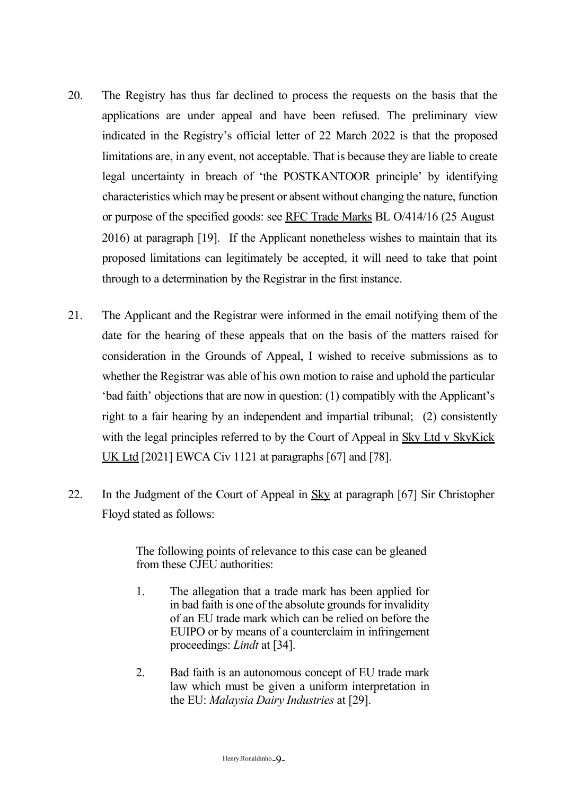- 20. The Registry has thus far declined to process the requests on the basis that the applications are under appeal and have been refused. The preliminary view indicated in the Registry's official letter of 22 March 2022 is that the proposed limitations are, in any event, not acceptable. That is because they are liable to create legal uncertainty in breach of 'the POSTKANTOOR principle' by identifying characteristics which may be present or absent without changing the nature, function or purpose of the specified goods: see RFC Trade Marks BL O/414/16 (25 August 2016) at paragraph [19]. If the Applicant nonetheless wishes to maintain that its proposed limitations can legitimately be accepted, it will need to take that point through to a determination by the Registrar in the first instance.
- 21. The Applicant and the Registrar were informed in the email notifying them of the date for the hearing of these appeals that on the basis of the matters raised for consideration in the Grounds of Appeal, I wished to receive submissions as to whether the Registrar was able of his own motion to raise and uphold the particular 'bad faith' objections that are now in question: (1) compatibly with the Applicant's right to a fair hearing by an independent and impartial tribunal; (2) consistently with the legal principles referred to by the Court of Appeal in Sky Ltd v SkyKick UK Ltd [2021] EWCA Civ 1121 at paragraphs [67] and [78].
- 22. In the Judgment of the Court of Appeal in Sky at paragraph [67] Sir Christopher Floyd stated as follows:

The following points of relevance to this case can be gleaned from these CJEU authorities:

- 1. The allegation that a trade mark has been applied for in bad faith is one of the absolute grounds for invalidity of an EU trade mark which can be relied on before the EUIPO or by means of a counterclaim in infringement proceedings: *Lindt* at [34].
- 2. Bad faith is an autonomous concept of EU trade mark law which must be given a uniform interpretation in the EU: *Malaysia Dairy Industries* at [29].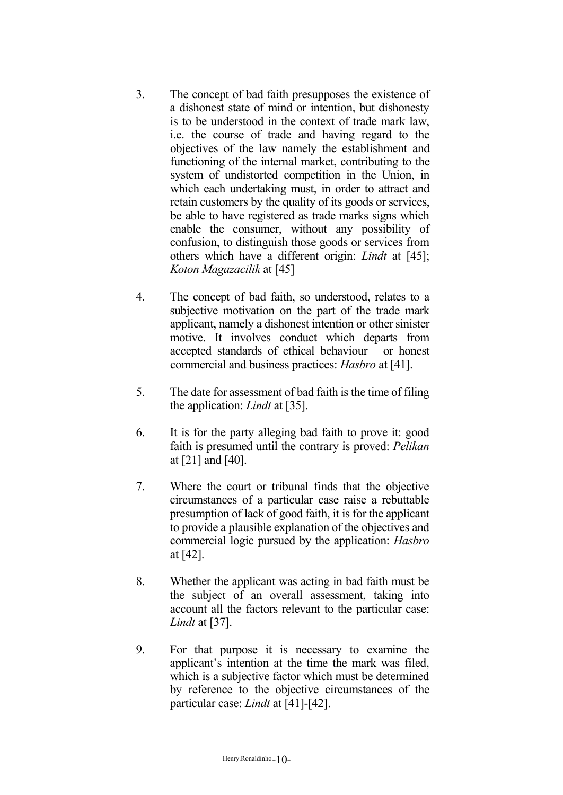- 3. The concept of bad faith presupposes the existence of a dishonest state of mind or intention, but dishonesty is to be understood in the context of trade mark law, i.e. the course of trade and having regard to the objectives of the law namely the establishment and functioning of the internal market, contributing to the system of undistorted competition in the Union, in which each undertaking must, in order to attract and retain customers by the quality of its goods or services, be able to have registered as trade marks signs which enable the consumer, without any possibility of confusion, to distinguish those goods or services from others which have a different origin: *Lindt* at [45]; *Koton Magazacilik* at [45]
- 4. The concept of bad faith, so understood, relates to a subjective motivation on the part of the trade mark applicant, namely a dishonest intention or other sinister motive. It involves conduct which departs from accepted standards of ethical behaviour or honest commercial and business practices: *Hasbro* at [41].
- 5. The date for assessment of bad faith isthe time of filing the application: *Lindt* at [35].
- 6. It is for the party alleging bad faith to prove it: good faith is presumed until the contrary is proved: *Pelikan*  at [21] and [40].
- 7. Where the court or tribunal finds that the objective circumstances of a particular case raise a rebuttable presumption of lack of good faith, it is for the applicant to provide a plausible explanation of the objectives and commercial logic pursued by the application: *Hasbro*  at [42].
- 8. Whether the applicant was acting in bad faith must be the subject of an overall assessment, taking into account all the factors relevant to the particular case: *Lindt* at [37].
- 9. For that purpose it is necessary to examine the applicant's intention at the time the mark was filed, which is a subjective factor which must be determined by reference to the objective circumstances of the particular case: *Lindt* at [41]-[42].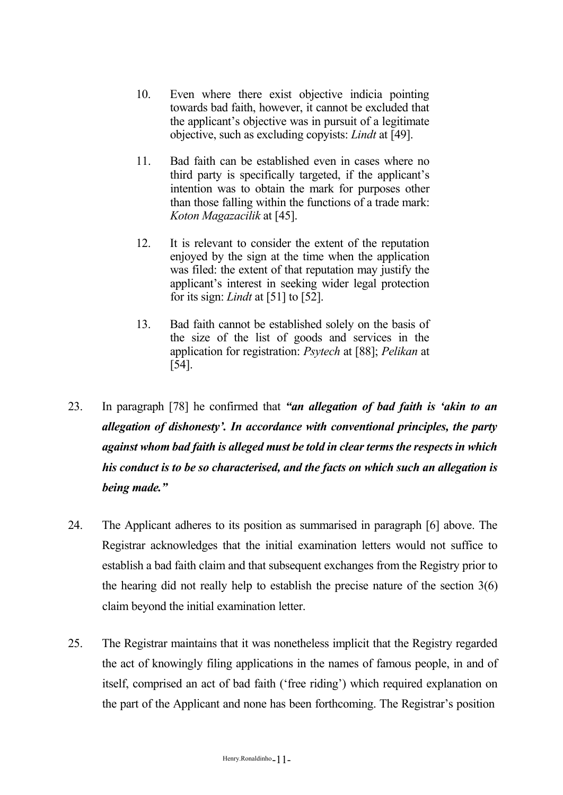- 10. Even where there exist objective indicia pointing towards bad faith, however, it cannot be excluded that the applicant's objective was in pursuit of a legitimate objective, such as excluding copyists: *Lindt* at [49].
- 11. Bad faith can be established even in cases where no third party is specifically targeted, if the applicant's intention was to obtain the mark for purposes other than those falling within the functions of a trade mark: *Koton Magazacilik* at [45].
- 12. It is relevant to consider the extent of the reputation enjoyed by the sign at the time when the application was filed: the extent of that reputation may justify the applicant's interest in seeking wider legal protection for its sign: *Lindt* at [51] to [52].
- 13. Bad faith cannot be established solely on the basis of the size of the list of goods and services in the application for registration: *Psytech* at [88]; *Pelikan* at [54].
- 23. In paragraph [78] he confirmed that *"an allegation of bad faith is 'akin to an allegation of dishonesty'. In accordance with conventional principles, the party against whom bad faith is alleged must be told in clear terms the respects in which his conduct is to be so characterised, and the facts on which such an allegation is being made."*
- 24. The Applicant adheres to its position as summarised in paragraph [6] above. The Registrar acknowledges that the initial examination letters would not suffice to establish a bad faith claim and that subsequent exchanges from the Registry prior to the hearing did not really help to establish the precise nature of the section 3(6) claim beyond the initial examination letter.
- 25. The Registrar maintains that it was nonetheless implicit that the Registry regarded the act of knowingly filing applications in the names of famous people, in and of itself, comprised an act of bad faith ('free riding') which required explanation on the part of the Applicant and none has been forthcoming. The Registrar's position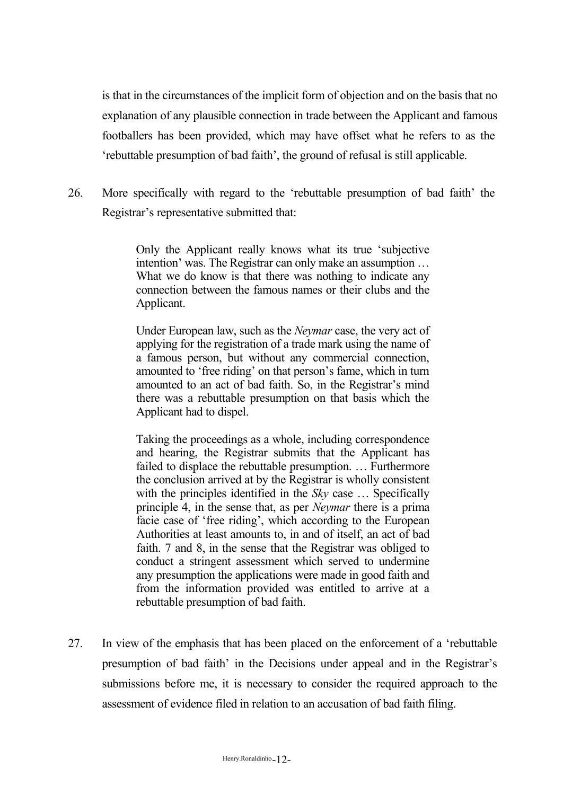is that in the circumstances of the implicit form of objection and on the basis that no explanation of any plausible connection in trade between the Applicant and famous footballers has been provided, which may have offset what he refers to as the 'rebuttable presumption of bad faith', the ground of refusal is still applicable.

26. More specifically with regard to the 'rebuttable presumption of bad faith' the Registrar's representative submitted that:

> Only the Applicant really knows what its true 'subjective intention' was. The Registrar can only make an assumption … What we do know is that there was nothing to indicate any connection between the famous names or their clubs and the Applicant.

> Under European law, such as the *Neymar* case, the very act of applying for the registration of a trade mark using the name of a famous person, but without any commercial connection, amounted to 'free riding' on that person's fame, which in turn amounted to an act of bad faith. So, in the Registrar's mind there was a rebuttable presumption on that basis which the Applicant had to dispel.

> Taking the proceedings as a whole, including correspondence and hearing, the Registrar submits that the Applicant has failed to displace the rebuttable presumption. … Furthermore the conclusion arrived at by the Registrar is wholly consistent with the principles identified in the *Sky* case ... Specifically principle 4, in the sense that, as per *Neymar* there is a prima facie case of 'free riding', which according to the European Authorities at least amounts to, in and of itself, an act of bad faith. 7 and 8, in the sense that the Registrar was obliged to conduct a stringent assessment which served to undermine any presumption the applications were made in good faith and from the information provided was entitled to arrive at a rebuttable presumption of bad faith.

27. In view of the emphasis that has been placed on the enforcement of a 'rebuttable presumption of bad faith' in the Decisions under appeal and in the Registrar's submissions before me, it is necessary to consider the required approach to the assessment of evidence filed in relation to an accusation of bad faith filing.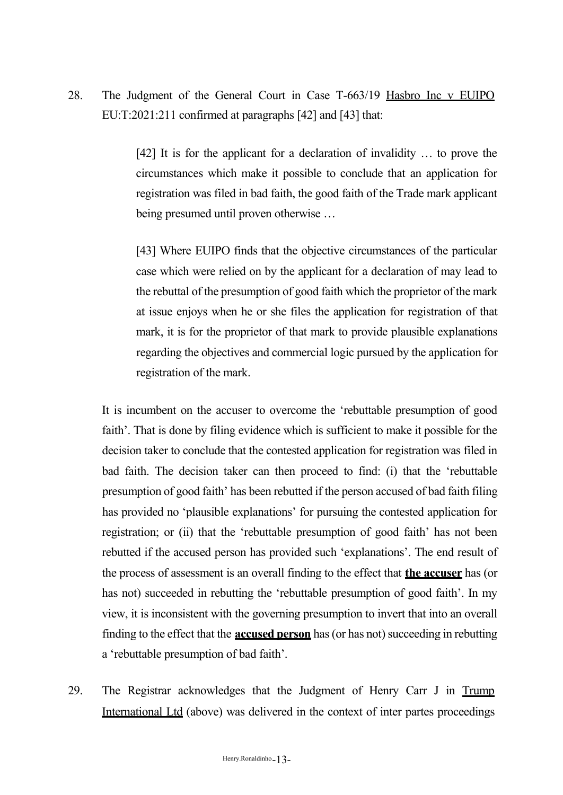28. The Judgment of the General Court in Case T-663/19 Hasbro Inc v EUIPO EU:T:2021:211 confirmed at paragraphs [42] and [43] that:

> [42] It is for the applicant for a declaration of invalidity ... to prove the circumstances which make it possible to conclude that an application for registration was filed in bad faith, the good faith of the Trade mark applicant being presumed until proven otherwise …

> [43] Where EUIPO finds that the objective circumstances of the particular case which were relied on by the applicant for a declaration of may lead to the rebuttal of the presumption of good faith which the proprietor of the mark at issue enjoys when he or she files the application for registration of that mark, it is for the proprietor of that mark to provide plausible explanations regarding the objectives and commercial logic pursued by the application for registration of the mark.

It is incumbent on the accuser to overcome the 'rebuttable presumption of good faith'. That is done by filing evidence which is sufficient to make it possible for the decision taker to conclude that the contested application for registration was filed in bad faith. The decision taker can then proceed to find: (i) that the 'rebuttable presumption of good faith' has been rebutted if the person accused of bad faith filing has provided no 'plausible explanations' for pursuing the contested application for registration; or (ii) that the 'rebuttable presumption of good faith' has not been rebutted if the accused person has provided such 'explanations'. The end result of the process of assessment is an overall finding to the effect that **the accuser** has (or has not) succeeded in rebutting the 'rebuttable presumption of good faith'. In my view, it is inconsistent with the governing presumption to invert that into an overall finding to the effect that the **accused person** has (or has not) succeeding in rebutting a 'rebuttable presumption of bad faith'.

29. The Registrar acknowledges that the Judgment of Henry Carr J in Trump International Ltd (above) was delivered in the context of inter partes proceedings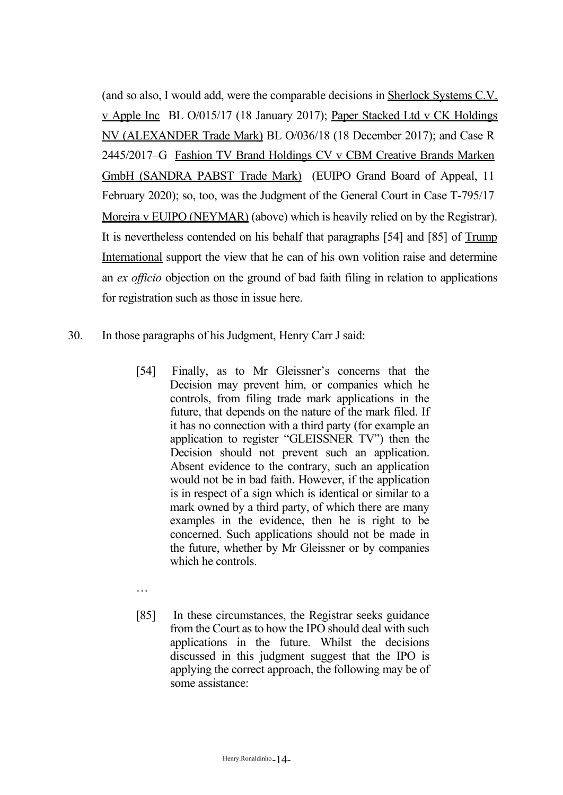(and so also, I would add, were the comparable decisions in Sherlock Systems C.V. v Apple Inc BL O/015/17 (18 January 2017); Paper Stacked Ltd v CK Holdings NV (ALEXANDER Trade Mark) BL O/036/18 (18 December 2017); and Case R 2445/2017–G Fashion TV Brand Holdings CV v CBM Creative Brands Marken GmbH (SANDRA PABST Trade Mark) (EUIPO Grand Board of Appeal, 11 February 2020); so, too, was the Judgment of the General Court in Case T-795/17 Moreira v EUIPO (NEYMAR) (above) which is heavily relied on by the Registrar). It is nevertheless contended on his behalf that paragraphs [54] and [85] of Trump International support the view that he can of his own volition raise and determine an *ex officio* objection on the ground of bad faith filing in relation to applications for registration such as those in issue here.

- 30. In those paragraphs of his Judgment, Henry Carr J said:
	- [54] Finally, as to Mr Gleissner's concerns that the Decision may prevent him, or companies which he controls, from filing trade mark applications in the future, that depends on the nature of the mark filed. If it has no connection with a third party (for example an application to register "GLEISSNER TV") then the Decision should not prevent such an application. Absent evidence to the contrary, such an application would not be in bad faith. However, if the application is in respect of a sign which is identical or similar to a mark owned by a third party, of which there are many examples in the evidence, then he is right to be concerned. Such applications should not be made in the future, whether by Mr Gleissner or by companies which he controls.
	- …
	- [85] In these circumstances, the Registrar seeks guidance from the Court as to how the IPO should deal with such applications in the future. Whilst the decisions discussed in this judgment suggest that the IPO is applying the correct approach, the following may be of some assistance: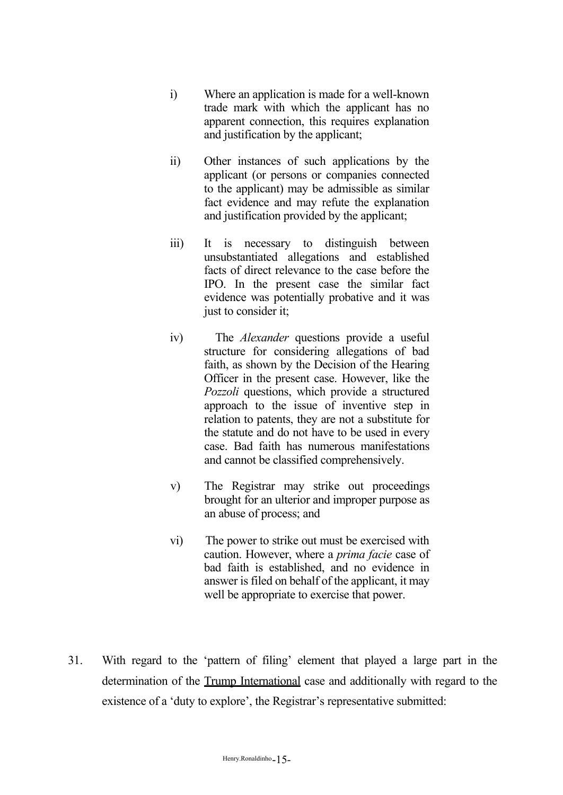- i) Where an application is made for a well-known trade mark with which the applicant has no apparent connection, this requires explanation and justification by the applicant;
- ii) Other instances of such applications by the applicant (or persons or companies connected to the applicant) may be admissible as similar fact evidence and may refute the explanation and justification provided by the applicant;
- iii) It is necessary to distinguish between unsubstantiated allegations and established facts of direct relevance to the case before the IPO. In the present case the similar fact evidence was potentially probative and it was just to consider it;
- iv) The *Alexander* questions provide a useful structure for considering allegations of bad faith, as shown by the Decision of the Hearing Officer in the present case. However, like the *Pozzoli* questions, which provide a structured approach to the issue of inventive step in relation to patents, they are not a substitute for the statute and do not have to be used in every case. Bad faith has numerous manifestations and cannot be classified comprehensively.
- v) The Registrar may strike out proceedings brought for an ulterior and improper purpose as an abuse of process; and
- vi) The power to strike out must be exercised with caution. However, where a *prima facie* case of bad faith is established, and no evidence in answer is filed on behalf of the applicant, it may well be appropriate to exercise that power.
- 31. With regard to the 'pattern of filing' element that played a large part in the determination of the Trump International case and additionally with regard to the existence of a 'duty to explore', the Registrar's representative submitted: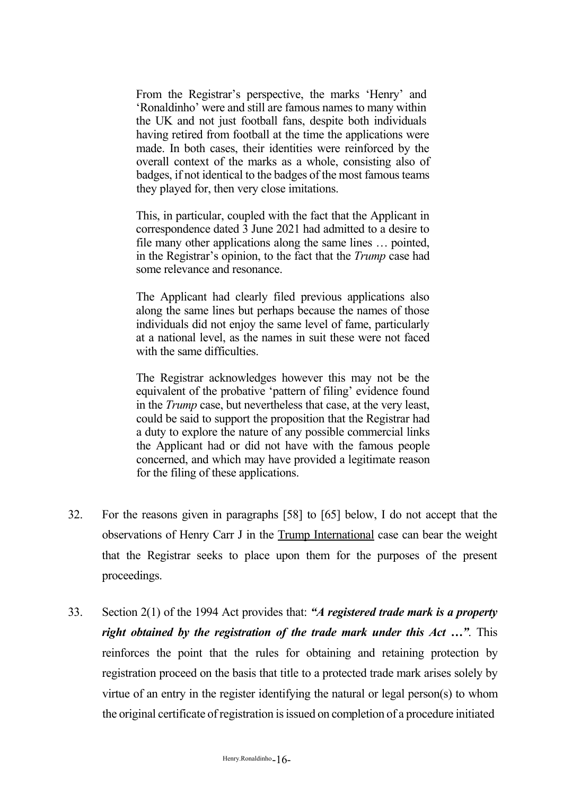From the Registrar's perspective, the marks 'Henry' and 'Ronaldinho' were and still are famous names to many within the UK and not just football fans, despite both individuals having retired from football at the time the applications were made. In both cases, their identities were reinforced by the overall context of the marks as a whole, consisting also of badges, if not identical to the badges of the most famous teams they played for, then very close imitations.

This, in particular, coupled with the fact that the Applicant in correspondence dated 3 June 2021 had admitted to a desire to file many other applications along the same lines … pointed, in the Registrar's opinion, to the fact that the *Trump* case had some relevance and resonance.

The Applicant had clearly filed previous applications also along the same lines but perhaps because the names of those individuals did not enjoy the same level of fame, particularly at a national level, as the names in suit these were not faced with the same difficulties.

The Registrar acknowledges however this may not be the equivalent of the probative 'pattern of filing' evidence found in the *Trump* case, but nevertheless that case, at the very least, could be said to support the proposition that the Registrar had a duty to explore the nature of any possible commercial links the Applicant had or did not have with the famous people concerned, and which may have provided a legitimate reason for the filing of these applications.

- 32. For the reasons given in paragraphs [58] to [65] below, I do not accept that the observations of Henry Carr J in the Trump International case can bear the weight that the Registrar seeks to place upon them for the purposes of the present proceedings.
- 33. Section 2(1) of the 1994 Act provides that: *"A registered trade mark is a property right obtained by the registration of the trade mark under this Act …"*. This reinforces the point that the rules for obtaining and retaining protection by registration proceed on the basis that title to a protected trade mark arises solely by virtue of an entry in the register identifying the natural or legal person(s) to whom the original certificate of registration is issued on completion of a procedure initiated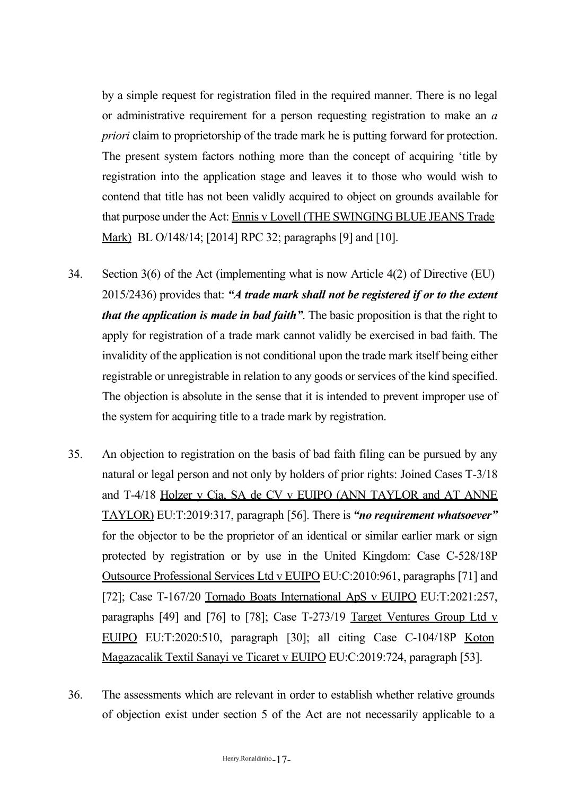by a simple request for registration filed in the required manner. There is no legal or administrative requirement for a person requesting registration to make an *a priori* claim to proprietorship of the trade mark he is putting forward for protection. The present system factors nothing more than the concept of acquiring 'title by registration into the application stage and leaves it to those who would wish to contend that title has not been validly acquired to object on grounds available for that purpose under the Act: Ennis v Lovell (THE SWINGING BLUE JEANS Trade Mark) BL O/148/14; [2014] RPC 32; paragraphs [9] and [10].

- 34. Section 3(6) of the Act (implementing what is now Article 4(2) of Directive (EU) 2015/2436) provides that: *"A trade mark shall not be registered if or to the extent that the application is made in bad faith"*. The basic proposition is that the right to apply for registration of a trade mark cannot validly be exercised in bad faith. The invalidity of the application is not conditional upon the trade mark itself being either registrable or unregistrable in relation to any goods or services of the kind specified. The objection is absolute in the sense that it is intended to prevent improper use of the system for acquiring title to a trade mark by registration.
- 35. An objection to registration on the basis of bad faith filing can be pursued by any natural or legal person and not only by holders of prior rights: Joined Cases T-3/18 and T-4/18 Holzer y Cia, SA de CV v EUIPO (ANN TAYLOR and AT ANNE TAYLOR) EU:T:2019:317, paragraph [56]. There is *"no requirement whatsoever"*  for the objector to be the proprietor of an identical or similar earlier mark or sign protected by registration or by use in the United Kingdom: Case C-528/18P Outsource Professional Services Ltd v EUIPO EU:C:2010:961, paragraphs [71] and [72]; Case T-167/20 Tornado Boats International ApS v EUIPO EU:T:2021:257, paragraphs [49] and [76] to [78]; Case T-273/19 Target Ventures Group Ltd v EUIPO EU:T:2020:510, paragraph [30]; all citing Case C-104/18P Koton Magazacalik Textil Sanayi ve Ticaret v EUIPO EU:C:2019:724, paragraph [53].
- 36. The assessments which are relevant in order to establish whether relative grounds of objection exist under section 5 of the Act are not necessarily applicable to a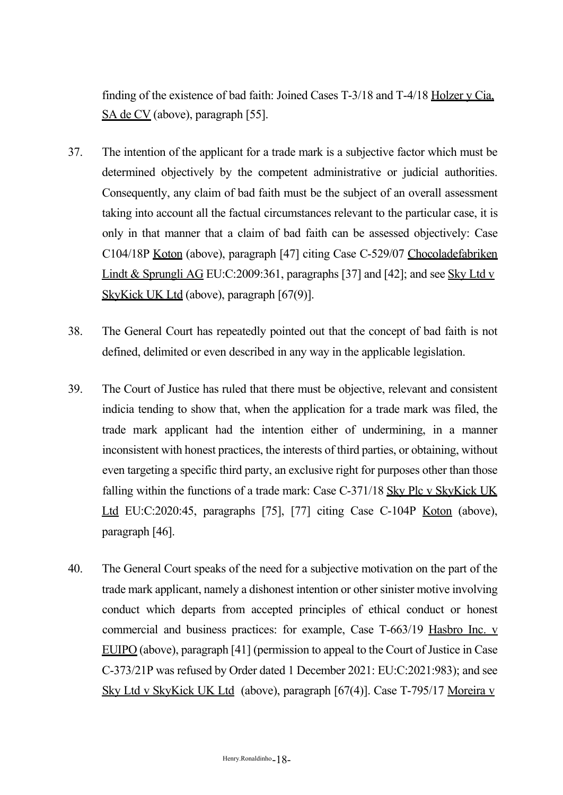finding of the existence of bad faith: Joined Cases T-3/18 and T-4/18 Holzer y Cia, SA de CV (above), paragraph [55].

- 37. The intention of the applicant for a trade mark is a subjective factor which must be determined objectively by the competent administrative or judicial authorities. Consequently, any claim of bad faith must be the subject of an overall assessment taking into account all the factual circumstances relevant to the particular case, it is only in that manner that a claim of bad faith can be assessed objectively: Case C104/18P Koton (above), paragraph [47] citing Case C-529/07 Chocoladefabriken Lindt & Sprungli AG EU:C:2009:361, paragraphs [37] and [42]; and see Sky Ltd v SkyKick UK Ltd (above), paragraph [67(9)].
- 38. The General Court has repeatedly pointed out that the concept of bad faith is not defined, delimited or even described in any way in the applicable legislation.
- 39. The Court of Justice has ruled that there must be objective, relevant and consistent indicia tending to show that, when the application for a trade mark was filed, the trade mark applicant had the intention either of undermining, in a manner inconsistent with honest practices, the interests of third parties, or obtaining, without even targeting a specific third party, an exclusive right for purposes other than those falling within the functions of a trade mark: Case C-371/18 Sky Plc v SkyKick UK Ltd EU:C:2020:45, paragraphs [75], [77] citing Case C-104P Koton (above), paragraph [46].
- 40. The General Court speaks of the need for a subjective motivation on the part of the trade mark applicant, namely a dishonest intention or other sinister motive involving conduct which departs from accepted principles of ethical conduct or honest commercial and business practices: for example, Case T-663/19 Hasbro Inc. v EUIPO (above), paragraph [41] (permission to appeal to the Court of Justice in Case C-373/21P was refused by Order dated 1 December 2021: EU:C:2021:983); and see Sky Ltd v SkyKick UK Ltd (above), paragraph [67(4)]. Case T-795/17 Moreira v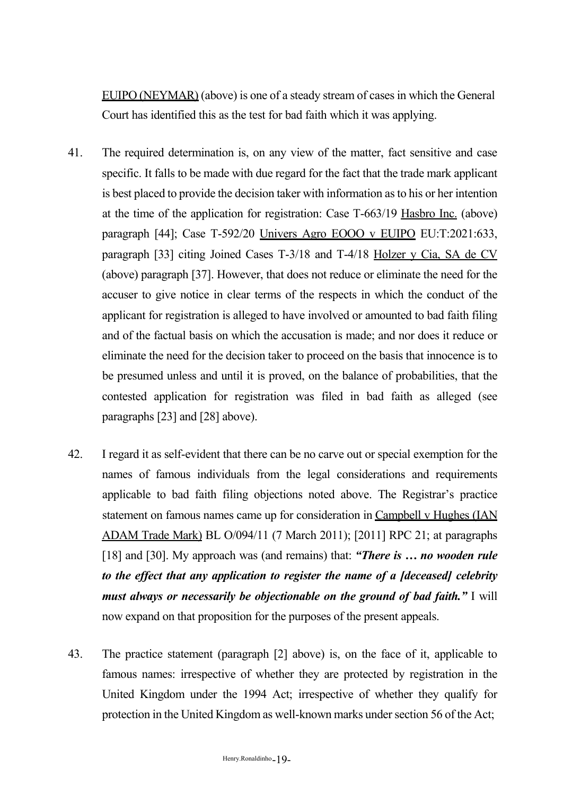EUIPO (NEYMAR) (above) is one of a steady stream of cases in which the General Court has identified this as the test for bad faith which it was applying.

- 41. The required determination is, on any view of the matter, fact sensitive and case specific. It falls to be made with due regard for the fact that the trade mark applicant is best placed to provide the decision taker with information asto his or her intention at the time of the application for registration: Case T-663/19 Hasbro Inc. (above) paragraph [44]; Case T-592/20 Univers Agro EOOO v EUIPO EU:T:2021:633, paragraph [33] citing Joined Cases T-3/18 and T-4/18 Holzer y Cia, SA de CV (above) paragraph [37]. However, that does not reduce or eliminate the need for the accuser to give notice in clear terms of the respects in which the conduct of the applicant for registration is alleged to have involved or amounted to bad faith filing and of the factual basis on which the accusation is made; and nor does it reduce or eliminate the need for the decision taker to proceed on the basis that innocence is to be presumed unless and until it is proved, on the balance of probabilities, that the contested application for registration was filed in bad faith as alleged (see paragraphs [23] and [28] above).
- 42. I regard it as self-evident that there can be no carve out or special exemption for the names of famous individuals from the legal considerations and requirements applicable to bad faith filing objections noted above. The Registrar's practice statement on famous names came up for consideration in Campbell v Hughes (IAN ADAM Trade Mark) BL O/094/11 (7 March 2011); [2011] RPC 21; at paragraphs [18] and [30]. My approach was (and remains) that: *"There is … no wooden rule to the effect that any application to register the name of a [deceased] celebrity must always or necessarily be objectionable on the ground of bad faith."* I will now expand on that proposition for the purposes of the present appeals.
- 43. The practice statement (paragraph [2] above) is, on the face of it, applicable to famous names: irrespective of whether they are protected by registration in the United Kingdom under the 1994 Act; irrespective of whether they qualify for protection in the United Kingdom as well-known marks under section 56 of the Act;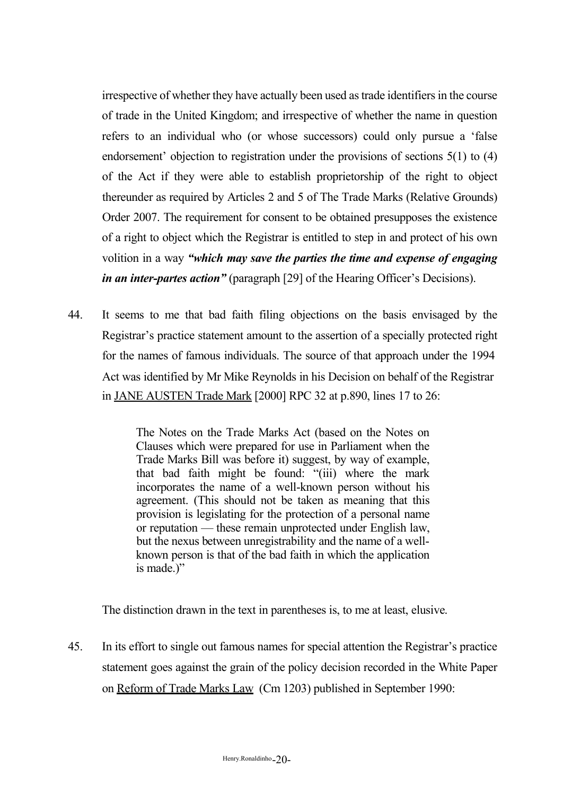irrespective of whether they have actually been used as trade identifiers in the course of trade in the United Kingdom; and irrespective of whether the name in question refers to an individual who (or whose successors) could only pursue a 'false endorsement' objection to registration under the provisions of sections 5(1) to (4) of the Act if they were able to establish proprietorship of the right to object thereunder as required by Articles 2 and 5 of The Trade Marks (Relative Grounds) Order 2007. The requirement for consent to be obtained presupposes the existence of a right to object which the Registrar is entitled to step in and protect of his own volition in a way *"which may save the parties the time and expense of engaging in an inter-partes action"* (paragraph [29] of the Hearing Officer's Decisions).

44. It seems to me that bad faith filing objections on the basis envisaged by the Registrar's practice statement amount to the assertion of a specially protected right for the names of famous individuals. The source of that approach under the 1994 Act was identified by Mr Mike Reynolds in his Decision on behalf of the Registrar in JANE AUSTEN Trade Mark [2000] RPC 32 at p.890, lines 17 to 26:

> The Notes on the Trade Marks Act (based on the Notes on Clauses which were prepared for use in Parliament when the Trade Marks Bill was before it) suggest, by way of example, that bad faith might be found: "(iii) where the mark incorporates the name of a well-known person without his agreement. (This should not be taken as meaning that this provision is legislating for the protection of a personal name or reputation — these remain unprotected under English law, but the nexus between unregistrability and the name of a wellknown person is that of the bad faith in which the application is made.)"

The distinction drawn in the text in parentheses is, to me at least, elusive.

45. In its effort to single out famous names for special attention the Registrar's practice statement goes against the grain of the policy decision recorded in the White Paper on Reform of Trade Marks Law (Cm 1203) published in September 1990: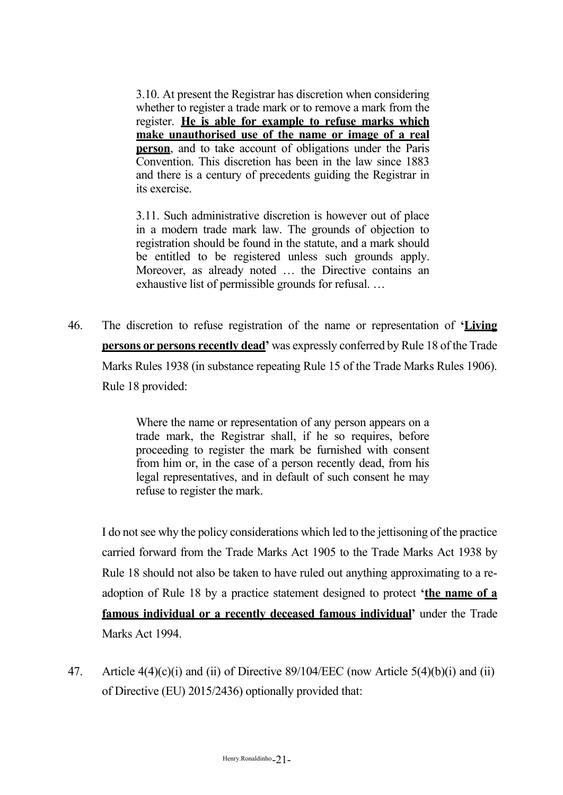3.10. At present the Registrar has discretion when considering whether to register a trade mark or to remove a mark from the register. **He is able for example to refuse marks which make unauthorised use of the name or image of a real person**, and to take account of obligations under the Paris Convention. This discretion has been in the law since 1883 and there is a century of precedents guiding the Registrar in its exercise.

3.11. Such administrative discretion is however out of place in a modern trade mark law. The grounds of objection to registration should be found in the statute, and a mark should be entitled to be registered unless such grounds apply. Moreover, as already noted … the Directive contains an exhaustive list of permissible grounds for refusal. …

46. The discretion to refuse registration of the name or representation of **'Living persons or persons recently dead'** was expressly conferred by Rule 18 of the Trade Marks Rules 1938 (in substance repeating Rule 15 of the Trade Marks Rules 1906). Rule 18 provided:

> Where the name or representation of any person appears on a trade mark, the Registrar shall, if he so requires, before proceeding to register the mark be furnished with consent from him or, in the case of a person recently dead, from his legal representatives, and in default of such consent he may refuse to register the mark.

I do not see why the policy considerations which led to the jettisoning of the practice carried forward from the Trade Marks Act 1905 to the Trade Marks Act 1938 by Rule 18 should not also be taken to have ruled out anything approximating to a readoption of Rule 18 by a practice statement designed to protect **'the name of a famous individual or a recently deceased famous individual'** under the Trade Marks Act 1994.

47. Article 4(4)(c)(i) and (ii) of Directive 89/104/EEC (now Article 5(4)(b)(i) and (ii) of Directive (EU) 2015/2436) optionally provided that: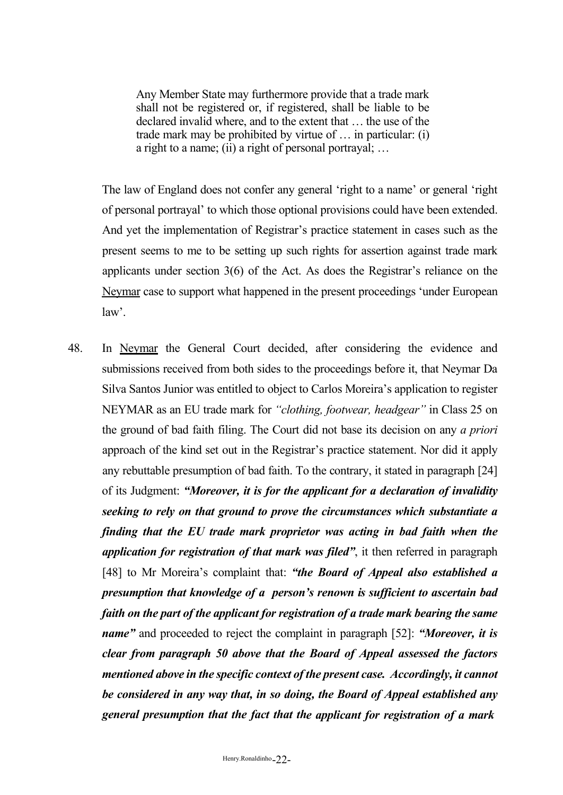Any Member State may furthermore provide that a trade mark shall not be registered or, if registered, shall be liable to be declared invalid where, and to the extent that … the use of the trade mark may be prohibited by virtue of … in particular: (i) a right to a name; (ii) a right of personal portrayal; …

The law of England does not confer any general 'right to a name' or general 'right of personal portrayal' to which those optional provisions could have been extended. And yet the implementation of Registrar's practice statement in cases such as the present seems to me to be setting up such rights for assertion against trade mark applicants under section 3(6) of the Act. As does the Registrar's reliance on the Neymar case to support what happened in the present proceedings 'under European law'.

48. In Neymar the General Court decided, after considering the evidence and submissions received from both sides to the proceedings before it, that Neymar Da Silva Santos Junior was entitled to object to Carlos Moreira's application to register NEYMAR as an EU trade mark for *"clothing, footwear, headgear"* in Class 25 on the ground of bad faith filing. The Court did not base its decision on any *a priori*  approach of the kind set out in the Registrar's practice statement. Nor did it apply any rebuttable presumption of bad faith. To the contrary, it stated in paragraph [24] of its Judgment: *"Moreover, it is for the applicant for a declaration of invalidity seeking to rely on that ground to prove the circumstances which substantiate a finding that the EU trade mark proprietor was acting in bad faith when the application for registration of that mark was filed"*, it then referred in paragraph [48] to Mr Moreira's complaint that: *"the Board of Appeal also established a presumption that knowledge of a person's renown is sufficient to ascertain bad faith on the part of the applicant for registration of a trade mark bearing the same name"* and proceeded to reject the complaint in paragraph [52]: *"Moreover, it is clear from paragraph 50 above that the Board of Appeal assessed the factors mentioned above in the specific context of the present case. Accordingly, it cannot be considered in any way that, in so doing, the Board of Appeal established any general presumption that the fact that the applicant for registration of a mark*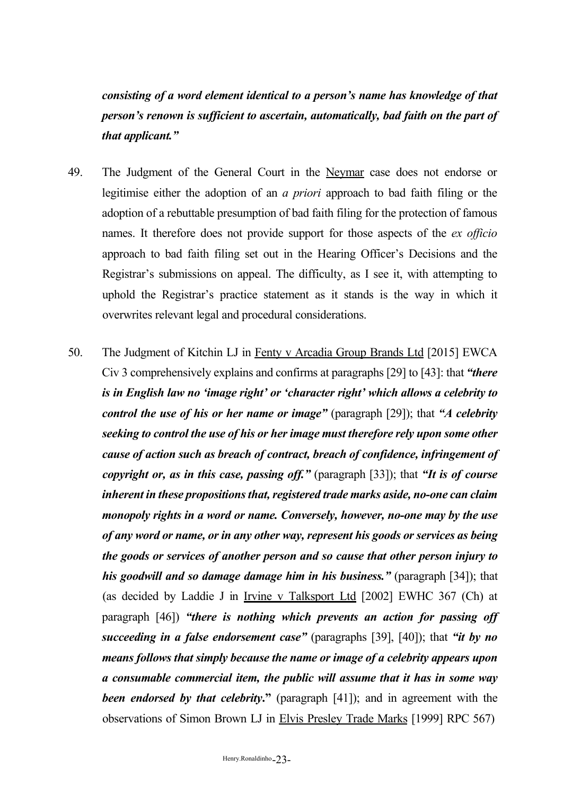*consisting of a word element identical to a person's name has knowledge of that person's renown is sufficient to ascertain, automatically, bad faith on the part of that applicant."*

- 49. The Judgment of the General Court in the Neymar case does not endorse or legitimise either the adoption of an *a priori* approach to bad faith filing or the adoption of a rebuttable presumption of bad faith filing for the protection of famous names. It therefore does not provide support for those aspects of the *ex officio*  approach to bad faith filing set out in the Hearing Officer's Decisions and the Registrar's submissions on appeal. The difficulty, as I see it, with attempting to uphold the Registrar's practice statement as it stands is the way in which it overwrites relevant legal and procedural considerations.
- 50. The Judgment of Kitchin LJ in Fenty v Arcadia Group Brands Ltd [2015] EWCA Civ 3 comprehensively explains and confirms at paragraphs [29] to [43]: that *"there is in English law no 'image right' or 'character right' which allows a celebrity to control the use of his or her name or image"* (paragraph [29]); that *"A celebrity seeking to control the use of his or her image must therefore rely upon some other cause of action such as breach of contract, breach of confidence, infringement of copyright or, as in this case, passing off."* (paragraph [33]); that *"It is of course inherent in these propositions that, registered <i>trade marks aside, no-one can claim monopoly rights in a word or name. Conversely, however, no-one may by the use of any word or name, or in any other way, represent his goods or services as being the goods or services of another person and so cause that other person injury to his goodwill and so damage damage him in his business."* (paragraph [34]); that (as decided by Laddie J in Irvine v Talksport Ltd [2002] EWHC 367 (Ch) at paragraph [46]) *"there is nothing which prevents an action for passing off succeeding in a false endorsement case"* (paragraphs [39], [40]); that *"it by no means follows that simply because the name or image of a celebrity appears upon a consumable commercial item, the public will assume that it has in some way been endorsed by that celebrity***."** (paragraph [41]); and in agreement with the observations of Simon Brown LJ in Elvis Presley Trade Marks [1999] RPC 567)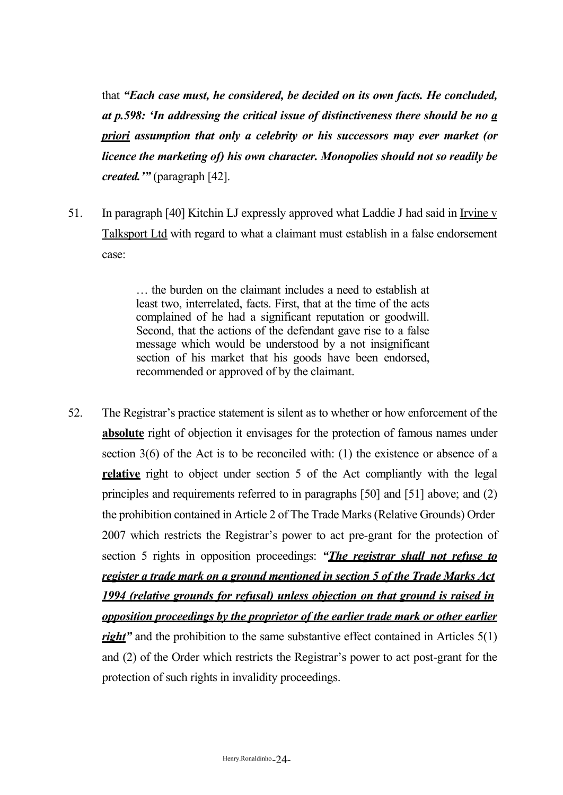that *"Each case must, he considered, be decided on its own facts. He concluded, at p.598: 'In addressing the critical issue of distinctiveness there should be no a priori assumption that only a celebrity or his successors may ever market (or licence the marketing of) his own character. Monopolies should not so readily be created.'"* (paragraph [42].

51. In paragraph [40] Kitchin LJ expressly approved what Laddie J had said in Irvine v Talksport Ltd with regard to what a claimant must establish in a false endorsement case:

> … the burden on the claimant includes a need to establish at least two, interrelated, facts. First, that at the time of the acts complained of he had a significant reputation or goodwill. Second, that the actions of the defendant gave rise to a false message which would be understood by a not insignificant section of his market that his goods have been endorsed, recommended or approved of by the claimant.

52. The Registrar's practice statement is silent as to whether or how enforcement of the **absolute** right of objection it envisages for the protection of famous names under section 3(6) of the Act is to be reconciled with: (1) the existence or absence of a **relative** right to object under section 5 of the Act compliantly with the legal principles and requirements referred to in paragraphs [50] and [51] above; and (2) the prohibition contained in Article 2 of The Trade Marks(Relative Grounds) Order 2007 which restricts the Registrar's power to act pre-grant for the protection of section 5 rights in opposition proceedings: *"The registrar shall not refuse to register a trade mark on a ground mentioned in section 5 of the Trade Marks Act 1994 (relative grounds for refusal) unless objection on that ground is raised in opposition proceedings by the proprietor of the earlier trade mark or other earlier right*" and the prohibition to the same substantive effect contained in Articles 5(1) and (2) of the Order which restricts the Registrar's power to act post-grant for the protection of such rights in invalidity proceedings.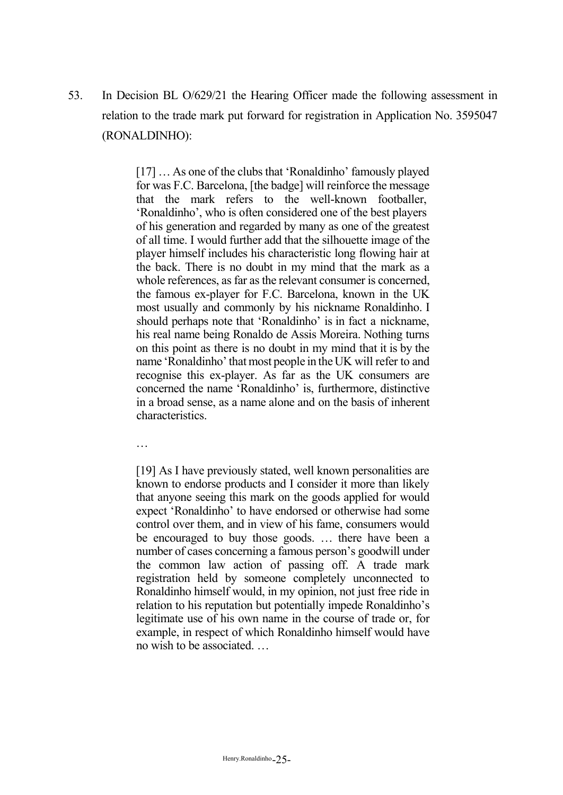53. In Decision BL O/629/21 the Hearing Officer made the following assessment in relation to the trade mark put forward for registration in Application No. 3595047 (RONALDINHO):

> [17] …As one of the clubs that 'Ronaldinho' famously played for was F.C. Barcelona, [the badge] will reinforce the message that the mark refers to the well-known footballer, 'Ronaldinho', who is often considered one of the best players of his generation and regarded by many as one of the greatest of all time. I would further add that the silhouette image of the player himself includes his characteristic long flowing hair at the back. There is no doubt in my mind that the mark as a whole references, as far as the relevant consumer is concerned. the famous ex-player for F.C. Barcelona, known in the UK most usually and commonly by his nickname Ronaldinho. I should perhaps note that 'Ronaldinho' is in fact a nickname, his real name being Ronaldo de Assis Moreira. Nothing turns on this point as there is no doubt in my mind that it is by the name 'Ronaldinho' that most people in the UK will refer to and recognise this ex-player. As far as the UK consumers are concerned the name 'Ronaldinho' is, furthermore, distinctive in a broad sense, as a name alone and on the basis of inherent characteristics.

…

[19] As I have previously stated, well known personalities are known to endorse products and I consider it more than likely that anyone seeing this mark on the goods applied for would expect 'Ronaldinho' to have endorsed or otherwise had some control over them, and in view of his fame, consumers would be encouraged to buy those goods. … there have been a number of cases concerning a famous person's goodwill under the common law action of passing off. A trade mark registration held by someone completely unconnected to Ronaldinho himself would, in my opinion, not just free ride in relation to his reputation but potentially impede Ronaldinho's legitimate use of his own name in the course of trade or, for example, in respect of which Ronaldinho himself would have no wish to be associated. …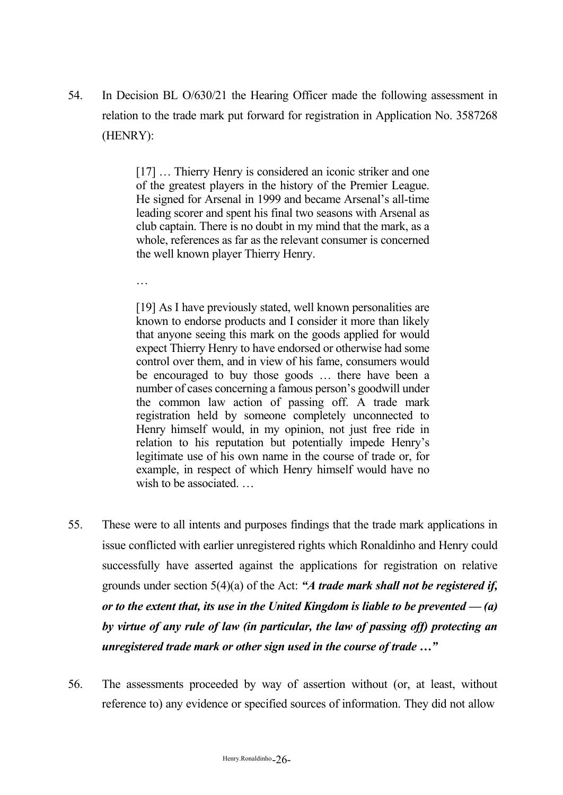54. In Decision BL O/630/21 the Hearing Officer made the following assessment in relation to the trade mark put forward for registration in Application No. 3587268 (HENRY):

> [17] ... Thierry Henry is considered an iconic striker and one of the greatest players in the history of the Premier League. He signed for Arsenal in 1999 and became Arsenal's all-time leading scorer and spent his final two seasons with Arsenal as club captain. There is no doubt in my mind that the mark, as a whole, references as far as the relevant consumer is concerned the well known player Thierry Henry.

…

[19] As I have previously stated, well known personalities are known to endorse products and I consider it more than likely that anyone seeing this mark on the goods applied for would expect Thierry Henry to have endorsed or otherwise had some control over them, and in view of his fame, consumers would be encouraged to buy those goods … there have been a number of cases concerning a famous person's goodwill under the common law action of passing off. A trade mark registration held by someone completely unconnected to Henry himself would, in my opinion, not just free ride in relation to his reputation but potentially impede Henry's legitimate use of his own name in the course of trade or, for example, in respect of which Henry himself would have no wish to be associated.

- 55. These were to all intents and purposes findings that the trade mark applications in issue conflicted with earlier unregistered rights which Ronaldinho and Henry could successfully have asserted against the applications for registration on relative grounds under section 5(4)(a) of the Act: *"A trade mark shall not be registered if, or to the extent that, its use in the United Kingdom is liable to be prevented — (a) by virtue of any rule of law (in particular, the law of passing off) protecting an unregistered trade mark or other sign used in the course of trade …"*
- 56. The assessments proceeded by way of assertion without (or, at least, without reference to) any evidence or specified sources of information. They did not allow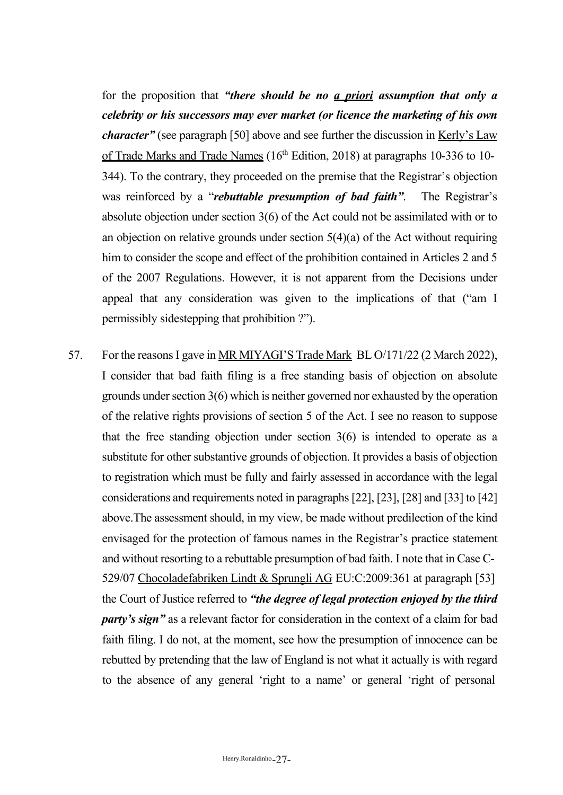for the proposition that *"there should be no a priori assumption that only a celebrity or his successors may ever market (or licence the marketing of his own character*" (see paragraph [50] above and see further the discussion in <u>Kerly's Law</u> of Trade Marks and Trade Names  $(16<sup>th</sup> Edition, 2018)$  at paragraphs 10-336 to 10-344). To the contrary, they proceeded on the premise that the Registrar's objection was reinforced by a "*rebuttable presumption of bad faith"*. The Registrar's absolute objection under section 3(6) of the Act could not be assimilated with or to an objection on relative grounds under section 5(4)(a) of the Act without requiring him to consider the scope and effect of the prohibition contained in Articles 2 and 5 of the 2007 Regulations. However, it is not apparent from the Decisions under appeal that any consideration was given to the implications of that ("am I permissibly sidestepping that prohibition ?").

57. For the reasons I gave in MR MIYAGI'S Trade Mark BL O/171/22 (2 March 2022), I consider that bad faith filing is a free standing basis of objection on absolute grounds under section  $3(6)$  which is neither governed nor exhausted by the operation of the relative rights provisions of section 5 of the Act. I see no reason to suppose that the free standing objection under section 3(6) is intended to operate as a substitute for other substantive grounds of objection. It provides a basis of objection to registration which must be fully and fairly assessed in accordance with the legal considerations and requirements noted in paragraphs[22], [23], [28] and [33] to [42] above.The assessment should, in my view, be made without predilection of the kind envisaged for the protection of famous names in the Registrar's practice statement and without resorting to a rebuttable presumption of bad faith. I note that in Case C-529/07 Chocoladefabriken Lindt & Sprungli AG EU:C:2009:361 at paragraph [53] the Court of Justice referred to *"the degree of legal protection enjoyed by the third party's sign"* as a relevant factor for consideration in the context of a claim for bad faith filing. I do not, at the moment, see how the presumption of innocence can be rebutted by pretending that the law of England is not what it actually is with regard to the absence of any general 'right to a name' or general 'right of personal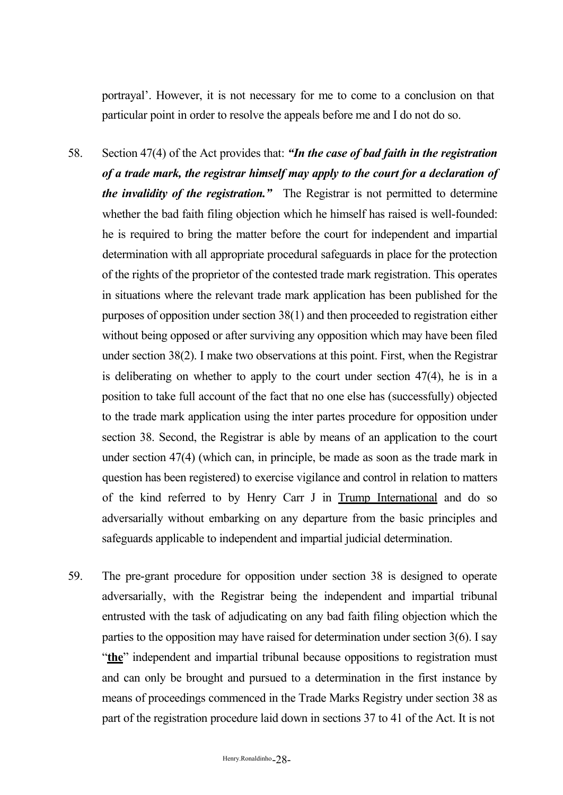portrayal'. However, it is not necessary for me to come to a conclusion on that particular point in order to resolve the appeals before me and I do not do so.

- 58. Section 47(4) of the Act provides that: *"In the case of bad faith in the registration of a trade mark, the registrar himself may apply to the court for a declaration of the invalidity of the registration."* The Registrar is not permitted to determine whether the bad faith filing objection which he himself has raised is well-founded: he is required to bring the matter before the court for independent and impartial determination with all appropriate procedural safeguards in place for the protection of the rights of the proprietor of the contested trade mark registration. This operates in situations where the relevant trade mark application has been published for the purposes of opposition under section 38(1) and then proceeded to registration either without being opposed or after surviving any opposition which may have been filed under section 38(2). I make two observations at this point. First, when the Registrar is deliberating on whether to apply to the court under section 47(4), he is in a position to take full account of the fact that no one else has (successfully) objected to the trade mark application using the inter partes procedure for opposition under section 38. Second, the Registrar is able by means of an application to the court under section 47(4) (which can, in principle, be made as soon as the trade mark in question has been registered) to exercise vigilance and control in relation to matters of the kind referred to by Henry Carr J in Trump International and do so adversarially without embarking on any departure from the basic principles and safeguards applicable to independent and impartial judicial determination.
- 59. The pre-grant procedure for opposition under section 38 is designed to operate adversarially, with the Registrar being the independent and impartial tribunal entrusted with the task of adjudicating on any bad faith filing objection which the parties to the opposition may have raised for determination under section 3(6). I say "the<sup>"</sup> independent and impartial tribunal because oppositions to registration must and can only be brought and pursued to a determination in the first instance by means of proceedings commenced in the Trade Marks Registry under section 38 as part of the registration procedure laid down in sections 37 to 41 of the Act. It is not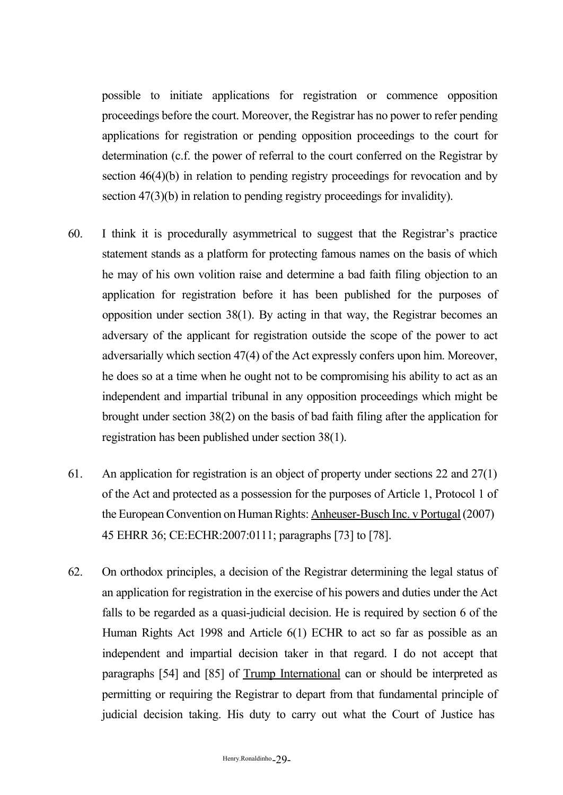possible to initiate applications for registration or commence opposition proceedings before the court. Moreover, the Registrar has no power to refer pending applications for registration or pending opposition proceedings to the court for determination (c.f. the power of referral to the court conferred on the Registrar by section 46(4)(b) in relation to pending registry proceedings for revocation and by section 47(3)(b) in relation to pending registry proceedings for invalidity).

- 60. I think it is procedurally asymmetrical to suggest that the Registrar's practice statement stands as a platform for protecting famous names on the basis of which he may of his own volition raise and determine a bad faith filing objection to an application for registration before it has been published for the purposes of opposition under section 38(1). By acting in that way, the Registrar becomes an adversary of the applicant for registration outside the scope of the power to act adversarially which section 47(4) of the Act expressly confers upon him. Moreover, he does so at a time when he ought not to be compromising his ability to act as an independent and impartial tribunal in any opposition proceedings which might be brought under section 38(2) on the basis of bad faith filing after the application for registration has been published under section 38(1).
- 61. An application for registration is an object of property under sections 22 and 27(1) of the Act and protected as a possession for the purposes of Article 1, Protocol 1 of the European Convention on Human Rights: Anheuser-Busch Inc. v Portugal (2007) 45 EHRR 36; CE:ECHR:2007:0111; paragraphs [73] to [78].
- 62. On orthodox principles, a decision of the Registrar determining the legal status of an application for registration in the exercise of his powers and duties under the Act falls to be regarded as a quasi-judicial decision. He is required by section 6 of the Human Rights Act 1998 and Article 6(1) ECHR to act so far as possible as an independent and impartial decision taker in that regard. I do not accept that paragraphs [54] and [85] of Trump International can or should be interpreted as permitting or requiring the Registrar to depart from that fundamental principle of judicial decision taking. His duty to carry out what the Court of Justice has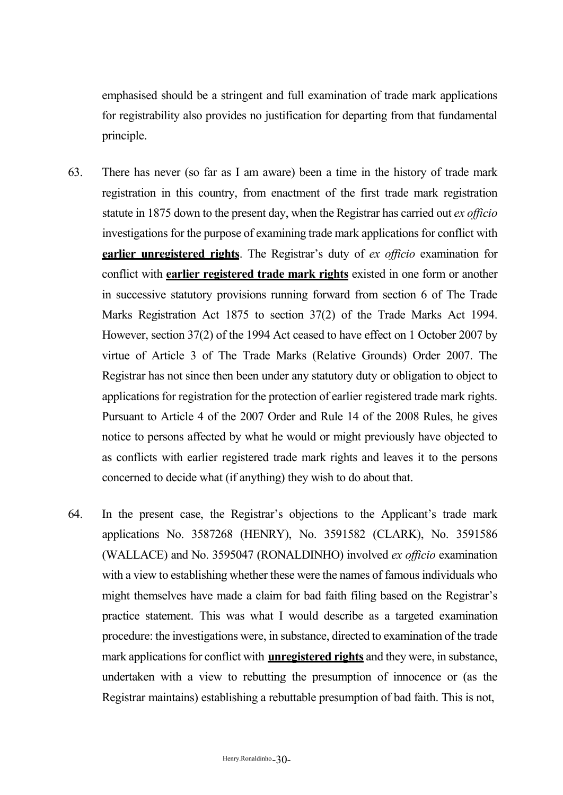emphasised should be a stringent and full examination of trade mark applications for registrability also provides no justification for departing from that fundamental principle.

- 63. There has never (so far as I am aware) been a time in the history of trade mark registration in this country, from enactment of the first trade mark registration statute in 1875 down to the present day, when the Registrar has carried out *ex officio*  investigations for the purpose of examining trade mark applications for conflict with **earlier unregistered rights**. The Registrar's duty of *ex officio* examination for conflict with **earlier registered trade mark rights** existed in one form or another in successive statutory provisions running forward from section 6 of The Trade Marks Registration Act 1875 to section 37(2) of the Trade Marks Act 1994. However, section 37(2) of the 1994 Act ceased to have effect on 1 October 2007 by virtue of Article 3 of The Trade Marks (Relative Grounds) Order 2007. The Registrar has not since then been under any statutory duty or obligation to object to applications for registration for the protection of earlier registered trade mark rights. Pursuant to Article 4 of the 2007 Order and Rule 14 of the 2008 Rules, he gives notice to persons affected by what he would or might previously have objected to as conflicts with earlier registered trade mark rights and leaves it to the persons concerned to decide what (if anything) they wish to do about that.
- 64. In the present case, the Registrar's objections to the Applicant's trade mark applications No. 3587268 (HENRY), No. 3591582 (CLARK), No. 3591586 (WALLACE) and No. 3595047 (RONALDINHO) involved *ex officio* examination with a view to establishing whether these were the names of famous individuals who might themselves have made a claim for bad faith filing based on the Registrar's practice statement. This was what I would describe as a targeted examination procedure: the investigations were, in substance, directed to examination of the trade mark applications for conflict with **unregistered rights** and they were, in substance, undertaken with a view to rebutting the presumption of innocence or (as the Registrar maintains) establishing a rebuttable presumption of bad faith. This is not,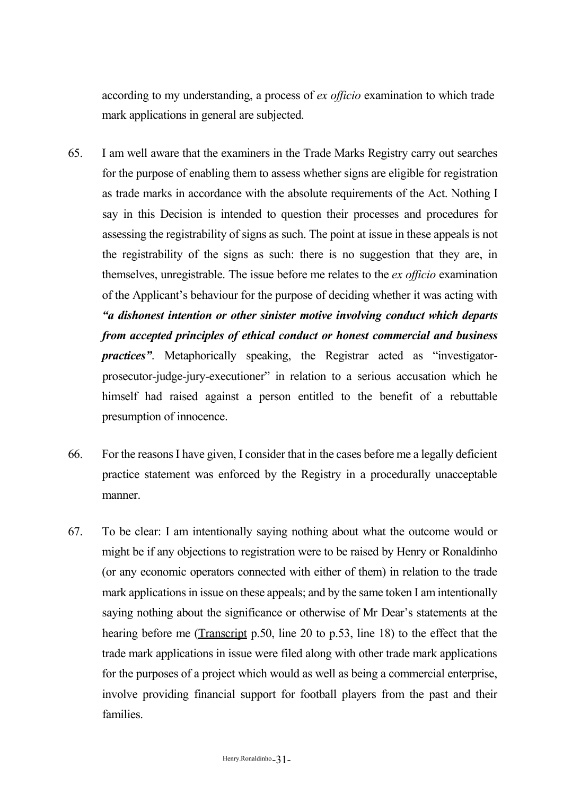according to my understanding, a process of *ex officio* examination to which trade mark applications in general are subjected.

- 65. I am well aware that the examiners in the Trade Marks Registry carry out searches for the purpose of enabling them to assess whether signs are eligible for registration as trade marks in accordance with the absolute requirements of the Act. Nothing I say in this Decision is intended to question their processes and procedures for assessing the registrability of signs as such. The point at issue in these appeals is not the registrability of the signs as such: there is no suggestion that they are, in themselves, unregistrable. The issue before me relates to the *ex officio* examination of the Applicant's behaviour for the purpose of deciding whether it was acting with *"a dishonest intention or other sinister motive involving conduct which departs from accepted principles of ethical conduct or honest commercial and business practices"*. Metaphorically speaking, the Registrar acted as "investigatorprosecutor-judge-jury-executioner" in relation to a serious accusation which he himself had raised against a person entitled to the benefit of a rebuttable presumption of innocence.
- 66. For the reasonsI have given, I consider that in the cases before me a legally deficient practice statement was enforced by the Registry in a procedurally unacceptable manner.
- 67. To be clear: I am intentionally saying nothing about what the outcome would or might be if any objections to registration were to be raised by Henry or Ronaldinho (or any economic operators connected with either of them) in relation to the trade mark applications in issue on these appeals; and by the same token I am intentionally saying nothing about the significance or otherwise of Mr Dear's statements at the hearing before me (Transcript p.50, line 20 to p.53, line 18) to the effect that the trade mark applications in issue were filed along with other trade mark applications for the purposes of a project which would as well as being a commercial enterprise, involve providing financial support for football players from the past and their families.